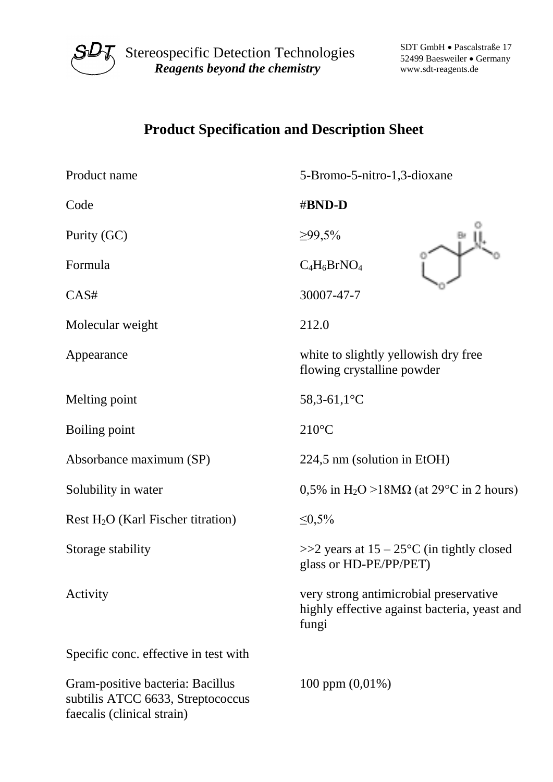

 $S\mathcal{U}\mathcal{T}$  Stereospecific Detection Technologies *Reagents beyond the chemistry*

SDT GmbH • Pascalstraße 17 52499 Baesweiler • Germany www.sdt-reagents.de

## **Product Specification and Description Sheet**

| Product name                                                                                        | 5-Bromo-5-nitro-1,3-dioxane                                                                     |
|-----------------------------------------------------------------------------------------------------|-------------------------------------------------------------------------------------------------|
| Code                                                                                                | #BND-D                                                                                          |
| Purity (GC)                                                                                         | $\geq 99,5\%$                                                                                   |
| Formula                                                                                             | $C_4H_6BrNO_4$                                                                                  |
| CAS#                                                                                                | 30007-47-7                                                                                      |
| Molecular weight                                                                                    | 212.0                                                                                           |
| Appearance                                                                                          | white to slightly yellowish dry free<br>flowing crystalline powder                              |
| Melting point                                                                                       | 58,3-61,1 $^{\circ}$ C                                                                          |
| Boiling point                                                                                       | $210^{\circ}$ C                                                                                 |
| Absorbance maximum (SP)                                                                             | 224,5 nm (solution in EtOH)                                                                     |
| Solubility in water                                                                                 | 0,5% in H <sub>2</sub> O >18M $\Omega$ (at 29 <sup>o</sup> C in 2 hours)                        |
| Rest $H_2O$ (Karl Fischer titration)                                                                | ≤0,5%                                                                                           |
| Storage stability                                                                                   | $>>2$ years at $15-25$ °C (in tightly closed<br>glass or HD-PE/PP/PET)                          |
| Activity                                                                                            | very strong antimicrobial preservative<br>highly effective against bacteria, yeast and<br>fungi |
| Specific conc. effective in test with                                                               |                                                                                                 |
| Gram-positive bacteria: Bacillus<br>subtilis ATCC 6633, Streptococcus<br>faecalis (clinical strain) | 100 ppm $(0,01\%)$                                                                              |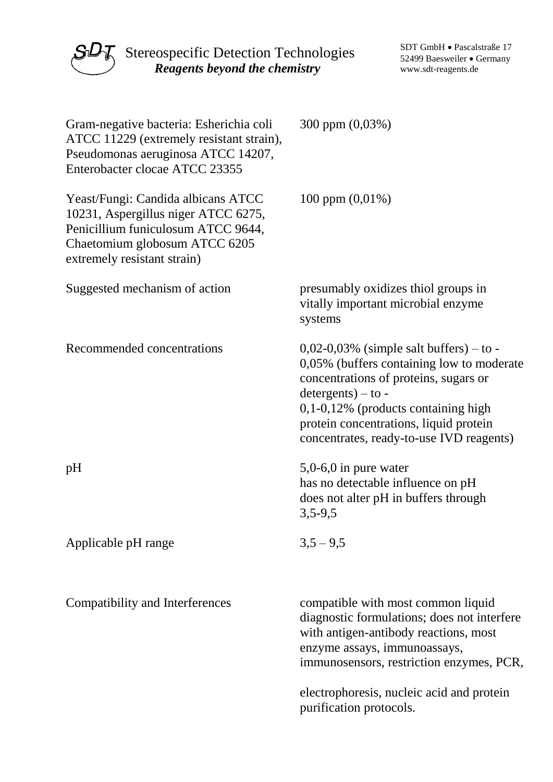

 $S\mathcal{U}\mathcal{T}$  Stereospecific Detection Technologies *Reagents beyond the chemistry*

SDT GmbH • Pascalstraße 17 52499 Baesweiler • Germany www.sdt-reagents.de

| Gram-negative bacteria: Esherichia coli<br>ATCC 11229 (extremely resistant strain),<br>Pseudomonas aeruginosa ATCC 14207,<br>Enterobacter clocae ATCC 23355                     | 300 ppm (0,03%)                                                                                                                                                                                                                                                                        |
|---------------------------------------------------------------------------------------------------------------------------------------------------------------------------------|----------------------------------------------------------------------------------------------------------------------------------------------------------------------------------------------------------------------------------------------------------------------------------------|
| Yeast/Fungi: Candida albicans ATCC<br>10231, Aspergillus niger ATCC 6275,<br>Penicillium funiculosum ATCC 9644,<br>Chaetomium globosum ATCC 6205<br>extremely resistant strain) | 100 ppm $(0,01\%)$                                                                                                                                                                                                                                                                     |
| Suggested mechanism of action                                                                                                                                                   | presumably oxidizes thiol groups in<br>vitally important microbial enzyme<br>systems                                                                                                                                                                                                   |
| Recommended concentrations                                                                                                                                                      | $0,02-0,03\%$ (simple salt buffers) – to -<br>0,05% (buffers containing low to moderate<br>concentrations of proteins, sugars or<br>$determino - to -$<br>$0,1-0,12\%$ (products containing high<br>protein concentrations, liquid protein<br>concentrates, ready-to-use IVD reagents) |
| pH                                                                                                                                                                              | $5,0-6,0$ in pure water<br>has no detectable influence on pH<br>does not alter pH in buffers through<br>$3,5-9,5$                                                                                                                                                                      |
| Applicable pH range                                                                                                                                                             | $3,5 - 9,5$                                                                                                                                                                                                                                                                            |
| Compatibility and Interferences                                                                                                                                                 | compatible with most common liquid<br>diagnostic formulations; does not interfere<br>with antigen-antibody reactions, most<br>enzyme assays, immunoassays,<br>immunosensors, restriction enzymes, PCR,                                                                                 |
|                                                                                                                                                                                 | electrophoresis, nucleic acid and protein<br>purification protocols.                                                                                                                                                                                                                   |